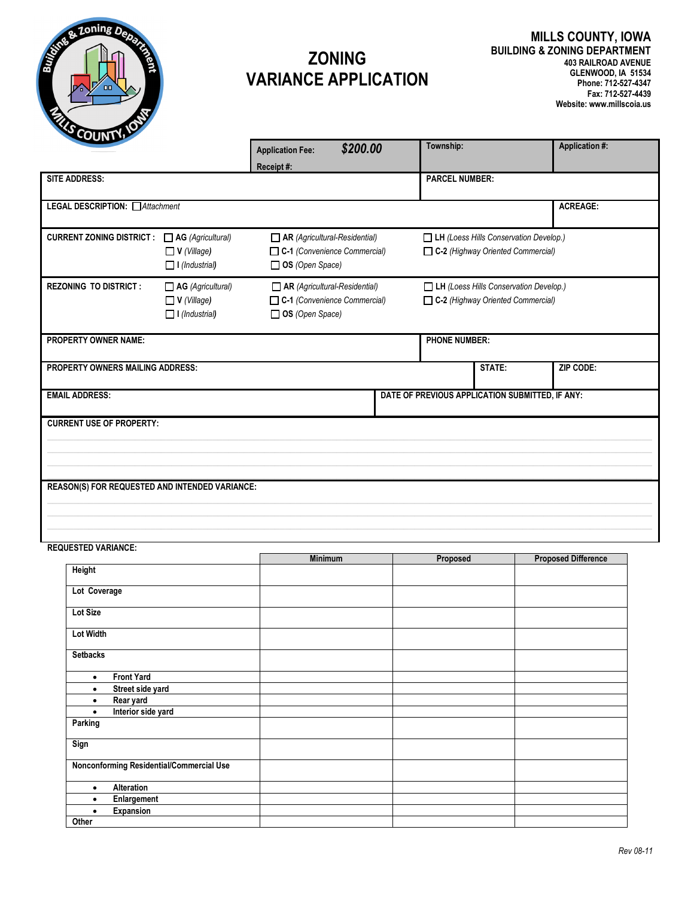

## **ZONING VARIANCE APPLICATION**

|                                                |                                                                         | <b>Application Fee:</b><br>Receipt#:                                                                  | \$200.00 | Township:                                                                          |                                                 | <b>Application #:</b> |
|------------------------------------------------|-------------------------------------------------------------------------|-------------------------------------------------------------------------------------------------------|----------|------------------------------------------------------------------------------------|-------------------------------------------------|-----------------------|
| <b>SITE ADDRESS:</b>                           |                                                                         |                                                                                                       |          | <b>PARCEL NUMBER:</b>                                                              |                                                 |                       |
| <b>LEGAL DESCRIPTION:</b> □ Attachment         |                                                                         |                                                                                                       |          |                                                                                    |                                                 | <b>ACREAGE:</b>       |
| <b>CURRENT ZONING DISTRICT:</b>                | $\Box$ AG (Agricultural)<br>$\Box$ V (Village)<br>$\Box$ I (Industrial) | $\Box$ AR (Agricultural-Residential)<br>$\Box$ C-1 (Convenience Commercial)<br>$\Box$ OS (Open Space) |          | <b>LH</b> (Loess Hills Conservation Develop.)<br>C-2 (Highway Oriented Commercial) |                                                 |                       |
| <b>REZONING TO DISTRICT:</b>                   | $\Box$ AG (Agricultural)<br>$\Box$ V (Village)<br>$\Box$ I (Industrial) | $\Box$ AR (Agricultural-Residential)<br>$\Box$ C-1 (Convenience Commercial)<br>$\Box$ OS (Open Space) |          | LH (Loess Hills Conservation Develop.)<br>C-2 (Highway Oriented Commercial)        |                                                 |                       |
| <b>PROPERTY OWNER NAME:</b>                    |                                                                         |                                                                                                       |          | <b>PHONE NUMBER:</b>                                                               |                                                 |                       |
| <b>PROPERTY OWNERS MAILING ADDRESS:</b>        |                                                                         |                                                                                                       |          |                                                                                    | STATE:                                          | ZIP CODE:             |
| <b>EMAIL ADDRESS:</b>                          |                                                                         |                                                                                                       |          |                                                                                    | DATE OF PREVIOUS APPLICATION SUBMITTED, IF ANY: |                       |
| <b>CURRENT USE OF PROPERTY:</b>                |                                                                         |                                                                                                       |          |                                                                                    |                                                 |                       |
| REASON(S) FOR REQUESTED AND INTENDED VARIANCE: |                                                                         |                                                                                                       |          |                                                                                    |                                                 |                       |

## **REQUESTED VARIANCE:**

 $\overline{\phantom{a}}$ 

|                                          | <b>Minimum</b> | Proposed | <b>Proposed Difference</b> |
|------------------------------------------|----------------|----------|----------------------------|
| Height                                   |                |          |                            |
| Lot Coverage                             |                |          |                            |
| Lot Size                                 |                |          |                            |
| <b>Lot Width</b>                         |                |          |                            |
| <b>Setbacks</b>                          |                |          |                            |
| <b>Front Yard</b><br>$\bullet$           |                |          |                            |
| Street side yard<br>$\bullet$            |                |          |                            |
| Rear yard<br>٠                           |                |          |                            |
| Interior side yard<br>$\bullet$          |                |          |                            |
| Parking                                  |                |          |                            |
| Sign                                     |                |          |                            |
| Nonconforming Residential/Commercial Use |                |          |                            |
| <b>Alteration</b><br>$\bullet$           |                |          |                            |
| Enlargement<br>٠                         |                |          |                            |
| Expansion<br>$\bullet$                   |                |          |                            |
| Other                                    |                |          |                            |